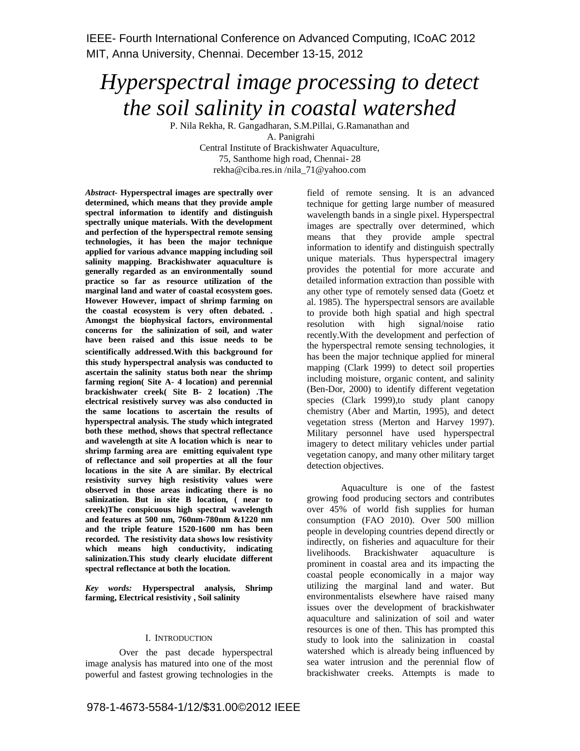IEEE- Fourth International Conference on Advanced Computing, ICoAC 2012 MIT, Anna University, Chennai. December 13-15, 2012

# *Hyperspectral image processing to detect the soil salinity in coastal watershed*

P. Nila Rekha, R. Gangadharan, S.M.Pillai, G.Ramanathan and A. Panigrahi Central Institute of Brackishwater Aquaculture, 75, Santhome high road, Chennai- 28 [rekha@ciba.res.in](mailto:rekha@ciba.res.in) [/nila\\_71@yahoo.com](mailto:/nila_71@yahoo.com)

*Abstract-* **Hyperspectral images are spectrally over determined, which means that they provide ample spectral information to identify and distinguish spectrally unique materials. With the development and perfection of the hyperspectral remote sensing technologies, it has been the major technique applied for various advance mapping including soil salinity mapping. Brackishwater aquaculture is generally regarded as an environmentally sound practice so far as resource utilization of the marginal land and water of coastal ecosystem goes. However However, impact of shrimp farming on the coastal ecosystem is very often debated. . Amongst the biophysical factors, environmental concerns for the salinization of soil, and water have been raised and this issue needs to be scientifically addressed**.**With this background for this study hyperspectral analysis was conducted to ascertain the salinity status both near the shrimp farming region( Site A- 4 location) and perennial brackishwater creek( Site B- 2 location) .The electrical resistively survey was also conducted in the same locations to ascertain the results of hyperspectral analysis. The study which integrated both these method, shows that spectral reflectance and wavelength at site A location which is near to shrimp farming area are emitting equivalent type of reflectance and soil properties at all the four locations in the site A are similar. By electrical resistivity survey high resistivity values were observed in those areas indicating there is no salinization. But in site B location, ( near to creek)The conspicuous high spectral wavelength and features at 500 nm, 760nm-780nm &1220 nm and the triple feature 1520-1600 nm has been recorded. The resistivity data shows low resistivity which means high conductivity, indicating salinization.This study clearly elucidate different spectral reflectance at both the location.** 

*Key words:* **Hyperspectral analysis, Shrimp farming, Electrical resistivity , Soil salinity** 

## I. INTRODUCTION

Over the past decade hyperspectral image analysis has matured into one of the most powerful and fastest growing technologies in the

field of remote sensing. It is an advanced technique for getting large number of measured wavelength bands in a single pixel. Hyperspectral images are spectrally over determined, which means that they provide ample spectral information to identify and distinguish spectrally unique materials. Thus hyperspectral imagery provides the potential for more accurate and detailed information extraction than possible with any other type of remotely sensed data (Goetz et al. 1985). The hyperspectral sensors are available to provide both high spatial and high spectral resolution with high signal/noise ratio recently.With the development and perfection of the hyperspectral remote sensing technologies, it has been the major technique applied for mineral mapping (Clark 1999) to detect soil properties including moisture, organic content, and salinity (Ben-Dor, 2000) to identify different vegetation species (Clark 1999), to study plant canopy chemistry (Aber and Martin, 1995), and detect vegetation stress (Merton and Harvey 1997). Military personnel have used hyperspectral imagery to detect military vehicles under partial vegetation canopy, and many other military target detection objectives.

 Aquaculture is one of the fastest growing food producing sectors and contributes over 45% of world fish supplies for human consumption (FAO 2010). Over 500 million people in developing countries depend directly or indirectly, on fisheries and aquaculture for their livelihoods. Brackishwater aquaculture is prominent in coastal area and its impacting the coastal people economically in a major way utilizing the marginal land and water. But environmentalists elsewhere have raised many issues over the development of brackishwater aquaculture and salinization of soil and water resources is one of then. This has prompted this study to look into the salinization in coastal watershed which is already being influenced by sea water intrusion and the perennial flow of brackishwater creeks. Attempts is made to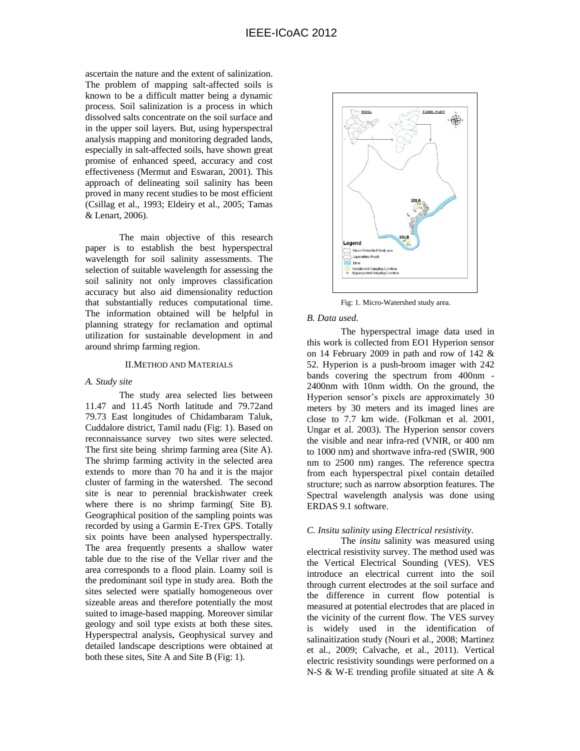ascertain the nature and the extent of salinization. The problem of mapping salt-affected soils is known to be a difficult matter being a dynamic process. Soil salinization is a process in which dissolved salts concentrate on the soil surface and in the upper soil layers. But, using hyperspectral analysis mapping and monitoring degraded lands, especially in salt-affected soils, have shown great promise of enhanced speed, accuracy and cost effectiveness (Mermut and Eswaran, 2001). This approach of delineating soil salinity has been proved in many recent studies to be most efficient (Csillag et al., 1993; Eldeiry et al., 2005; Tamas & Lenart, 2006).

The main objective of this research paper is to establish the best hyperspectral wavelength for soil salinity assessments. The selection of suitable wavelength for assessing the soil salinity not only improves classification accuracy but also aid dimensionality reduction that substantially reduces computational time. The information obtained will be helpful in planning strategy for reclamation and optimal utilization for sustainable development in and around shrimp farming region.

## II.METHOD AND MATERIALS

#### *A. Study site*

The study area selected lies between 11.47 and 11.45 North latitude and 79.72and 79.73 East longitudes of Chidambaram Taluk, Cuddalore district, Tamil nadu (Fig: 1). Based on reconnaissance survey two sites were selected. The first site being shrimp farming area (Site A). The shrimp farming activity in the selected area extends to more than 70 ha and it is the major cluster of farming in the watershed. The second site is near to perennial brackishwater creek where there is no shrimp farming( Site B). Geographical position of the sampling points was recorded by using a Garmin E-Trex GPS. Totally six points have been analysed hyperspectrally. The area frequently presents a shallow water table due to the rise of the Vellar river and the area corresponds to a flood plain. Loamy soil is the predominant soil type in study area. Both the sites selected were spatially homogeneous over sizeable areas and therefore potentially the most suited to image-based mapping. Moreover similar geology and soil type exists at both these sites. Hyperspectral analysis, Geophysical survey and detailed landscape descriptions were obtained at both these sites, Site A and Site B (Fig: 1).



Fig: 1. Micro-Watershed study area.

## *B. Data used.*

The hyperspectral image data used in this work is collected from EO1 Hyperion sensor on 14 February 2009 in path and row of 142 & 52. Hyperion is a push-broom imager with 242 bands covering the spectrum from 400nm - 2400nm with 10nm width. On the ground, the Hyperion sensor's pixels are approximately 30 meters by 30 meters and its imaged lines are close to 7.7 km wide. (Folkman et al. 2001, Ungar et al. 2003). The Hyperion sensor covers the visible and near infra-red (VNIR, or 400 nm to 1000 nm) and shortwave infra-red (SWIR, 900 nm to 2500 nm) ranges. The reference spectra from each hyperspectral pixel contain detailed structure; such as narrow absorption features. The Spectral wavelength analysis was done using ERDAS 9.1 software.

## *C. Insitu salinity using Electrical resistivity.*

The *insitu* salinity was measured using electrical resistivity survey. The method used was the Vertical Electrical Sounding (VES). VES introduce an electrical current into the soil through current electrodes at the soil surface and the difference in current flow potential is measured at potential electrodes that are placed in the vicinity of the current flow. The VES survey is widely used in the identification of salinaitization study (Nouri et al., 2008; Martinez et al., 2009; Calvache, et al., 2011). Vertical electric resistivity soundings were performed on a N-S & W-E trending profile situated at site A &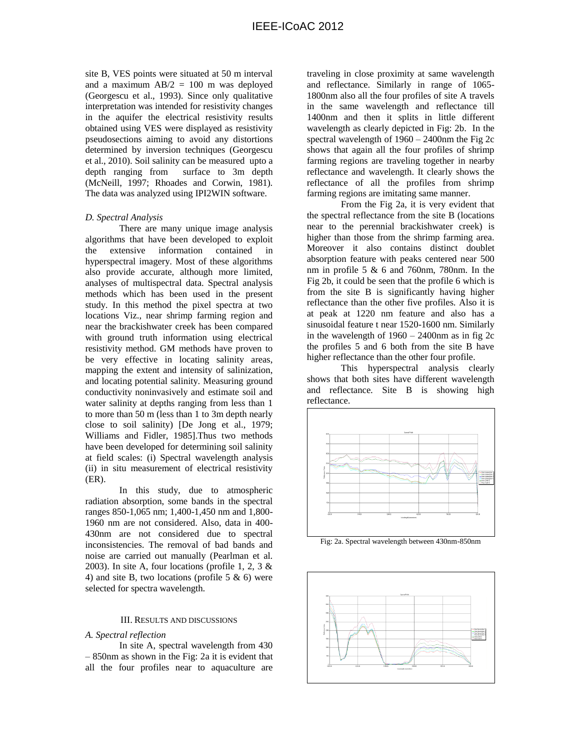site B, VES points were situated at 50 m interval and a maximum  $AB/2 = 100$  m was deployed (Georgescu et al., 1993). Since only qualitative interpretation was intended for resistivity changes in the aquifer the electrical resistivity results obtained using VES were displayed as resistivity pseudosections aiming to avoid any distortions determined by inversion techniques (Georgescu et al., 2010). Soil salinity can be measured upto a depth ranging from surface to 3m depth (McNeill, 1997; Rhoades and Corwin, 1981). The data was analyzed using IPI2WIN software.

## *D. Spectral Analysis*

There are many unique image analysis algorithms that have been developed to exploit the extensive information contained in hyperspectral imagery. Most of these algorithms also provide accurate, although more limited, analyses of multispectral data. Spectral analysis methods which has been used in the present study. In this method the pixel spectra at two locations Viz., near shrimp farming region and near the brackishwater creek has been compared with ground truth information using electrical resistivity method. GM methods have proven to be very effective in locating salinity areas, mapping the extent and intensity of salinization, and locating potential salinity. Measuring ground conductivity noninvasively and estimate soil and water salinity at depths ranging from less than 1 to more than 50 m (less than 1 to 3m depth nearly close to soil salinity) [De Jong et al., 1979; Williams and Fidler, 1985].Thus two methods have been developed for determining soil salinity at field scales: (i) Spectral wavelength analysis (ii) in situ measurement of electrical resistivity (ER).

In this study, due to atmospheric radiation absorption, some bands in the spectral ranges 850-1,065 nm; 1,400-1,450 nm and 1,800- 1960 nm are not considered. Also, data in 400- 430nm are not considered due to spectral inconsistencies. The removal of bad bands and noise are carried out manually (Pearlman et al. 2003). In site A, four locations (profile 1, 2, 3  $\&$ 4) and site B, two locations (profile  $5 \& 6$ ) were selected for spectra wavelength.

## III. RESULTS AND DISCUSSIONS

#### *A. Spectral reflection*

In site A, spectral wavelength from 430 – 850nm as shown in the Fig: 2a it is evident that all the four profiles near to aquaculture are traveling in close proximity at same wavelength and reflectance. Similarly in range of 1065- 1800nm also all the four profiles of site A travels in the same wavelength and reflectance till 1400nm and then it splits in little different wavelength as clearly depicted in Fig: 2b. In the spectral wavelength of 1960 – 2400nm the Fig 2c shows that again all the four profiles of shrimp farming regions are traveling together in nearby reflectance and wavelength. It clearly shows the reflectance of all the profiles from shrimp farming regions are imitating same manner.

From the Fig 2a, it is very evident that the spectral reflectance from the site B (locations near to the perennial brackishwater creek) is higher than those from the shrimp farming area. Moreover it also contains distinct doublet absorption feature with peaks centered near 500 nm in profile 5  $\&$  6 and 760nm, 780nm. In the Fig 2b, it could be seen that the profile 6 which is from the site B is significantly having higher reflectance than the other five profiles. Also it is at peak at 1220 nm feature and also has a sinusoidal feature t near 1520-1600 nm. Similarly in the wavelength of  $1960 - 2400$ nm as in fig 2c the profiles 5 and 6 both from the site B have higher reflectance than the other four profile.

This hyperspectral analysis clearly shows that both sites have different wavelength and reflectance. Site B is showing high reflectance.



Fig: 2a. Spectral wavelength between 430nm-850nm

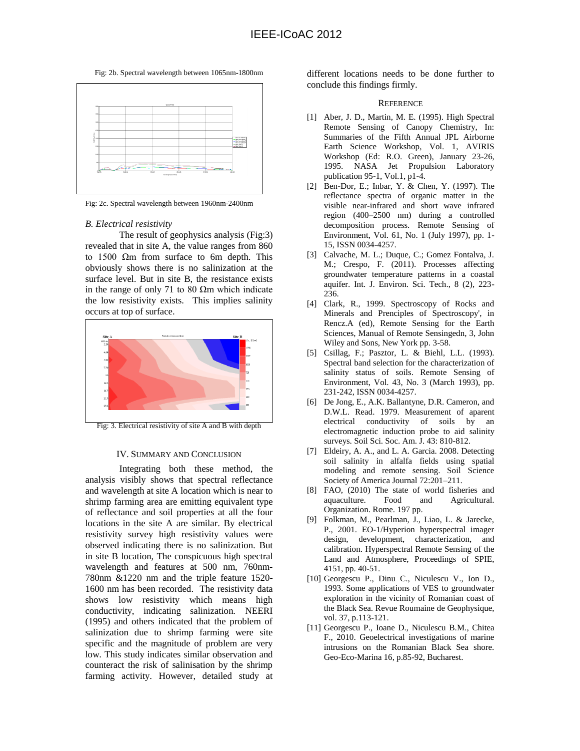Fig: 2b. Spectral wavelength between 1065nm-1800nm



Fig: 2c. Spectral wavelength between 1960nm-2400nm

#### *B. Electrical resistivity*

The result of geophysics analysis (Fig:3) revealed that in site A, the value ranges from 860 to 1500  $\Omega$ m from surface to 6m depth. This obviously shows there is no salinization at the surface level. But in site B, the resistance exists in the range of only 71 to 80  $\Omega$ m which indicate the low resistivity exists. This implies salinity occurs at top of surface.



Fig: 3. Electrical resistivity of site A and B with depth

#### IV. SUMMARY AND CONCLUSION

Integrating both these method, the analysis visibly shows that spectral reflectance and wavelength at site A location which is near to shrimp farming area are emitting equivalent type of reflectance and soil properties at all the four locations in the site A are similar. By electrical resistivity survey high resistivity values were observed indicating there is no salinization. But in site B location, The conspicuous high spectral wavelength and features at 500 nm, 760nm-780nm &1220 nm and the triple feature 1520- 1600 nm has been recorded. The resistivity data shows low resistivity which means high conductivity, indicating salinization. NEERI (1995) and others indicated that the problem of salinization due to shrimp farming were site specific and the magnitude of problem are very low. This study indicates similar observation and counteract the risk of salinisation by the shrimp farming activity. However, detailed study at

different locations needs to be done further to conclude this findings firmly.

#### **REFERENCE**

- [1] Aber, J. D., Martin, M. E. (1995). High Spectral Remote Sensing of Canopy Chemistry, In: Summaries of the Fifth Annual JPL Airborne Earth Science Workshop, Vol. 1, AVIRIS Workshop (Ed: R.O. Green), January 23-26, 1995. NASA Jet Propulsion Laboratory publication 95-1, Vol.1, p1-4.
- [2] Ben-Dor, E.; Inbar, Y. & Chen, Y. (1997). The reflectance spectra of organic matter in the visible near-infrared and short wave infrared region (400–2500 nm) during a controlled decomposition process. Remote Sensing of Environment, Vol. 61, No. 1 (July 1997), pp. 1- 15, ISSN 0034-4257.
- [3] Calvache, M. L.; Duque, C.; Gomez Fontalva, J. M.; Crespo, F. (2011). Processes affecting groundwater temperature patterns in a coastal aquifer. Int. J. Environ. Sci. Tech., 8 (2), 223- 236.
- [4] Clark, R., 1999. Spectroscopy of Rocks and Minerals and Prenciples of Spectroscopy', in Rencz.A (ed), Remote Sensing for the Earth Sciences, Manual of Remote Sensingedn, 3, John Wiley and Sons, New York pp. 3-58.
- [5] Csillag, F.; Pasztor, L. & Biehl, L.L. (1993). Spectral band selection for the characterization of salinity status of soils. Remote Sensing of Environment, Vol. 43, No. 3 (March 1993), pp. 231-242, ISSN 0034-4257.
- [6] De Jong, E., A.K. Ballantyne, D.R. Cameron, and D.W.L. Read. 1979. Measurement of aparent electrical conductivity of soils by an electromagnetic induction probe to aid salinity surveys. Soil Sci. Soc. Am. J. 43: 810-812.
- [7] Eldeiry, A. A., and L. A. Garcia. 2008. Detecting soil salinity in alfalfa fields using spatial modeling and remote sensing. Soil Science Society of America Journal 72:201–211.
- [8] FAO, (2010) The state of world fisheries and aquaculture. Food and Agricultural. Organization. Rome. 197 pp.
- [9] Folkman, M., Pearlman, J., Liao, L. & Jarecke, P., 2001. EO-1/Hyperion hyperspectral imager design, development, characterization, and calibration. Hyperspectral Remote Sensing of the Land and Atmosphere, Proceedings of SPIE, 4151, pp. 40-51.
- [10] Georgescu P., Dinu C., Niculescu V., Ion D., 1993. Some applications of VES to groundwater exploration in the vicinity of Romanian coast of the Black Sea. Revue Roumaine de Geophysique, vol. 37, p.113-121.
- [11] Georgescu P., Ioane D., Niculescu B.M., Chitea F., 2010. Geoelectrical investigations of marine intrusions on the Romanian Black Sea shore. Geo-Eco-Marina 16, p.85-92, Bucharest.